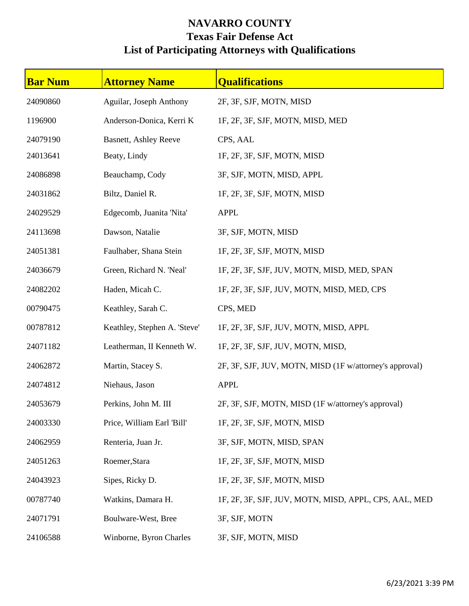## **NAVARRO COUNTY Texas Fair Defense Act List of Participating Attorneys with Qualifications**

| <b>Bar Num</b> | <b>Attorney Name</b>         | <b>Qualifications</b>                                   |
|----------------|------------------------------|---------------------------------------------------------|
| 24090860       | Aguilar, Joseph Anthony      | 2F, 3F, SJF, MOTN, MISD                                 |
| 1196900        | Anderson-Donica, Kerri K     | 1F, 2F, 3F, SJF, MOTN, MISD, MED                        |
| 24079190       | <b>Basnett, Ashley Reeve</b> | CPS, AAL                                                |
| 24013641       | Beaty, Lindy                 | 1F, 2F, 3F, SJF, MOTN, MISD                             |
| 24086898       | Beauchamp, Cody              | 3F, SJF, MOTN, MISD, APPL                               |
| 24031862       | Biltz, Daniel R.             | 1F, 2F, 3F, SJF, MOTN, MISD                             |
| 24029529       | Edgecomb, Juanita 'Nita'     | <b>APPL</b>                                             |
| 24113698       | Dawson, Natalie              | 3F, SJF, MOTN, MISD                                     |
| 24051381       | Faulhaber, Shana Stein       | 1F, 2F, 3F, SJF, MOTN, MISD                             |
| 24036679       | Green, Richard N. 'Neal'     | 1F, 2F, 3F, SJF, JUV, MOTN, MISD, MED, SPAN             |
| 24082202       | Haden, Micah C.              | 1F, 2F, 3F, SJF, JUV, MOTN, MISD, MED, CPS              |
| 00790475       | Keathley, Sarah C.           | CPS, MED                                                |
| 00787812       | Keathley, Stephen A. 'Steve' | 1F, 2F, 3F, SJF, JUV, MOTN, MISD, APPL                  |
| 24071182       | Leatherman, II Kenneth W.    | 1F, 2F, 3F, SJF, JUV, MOTN, MISD,                       |
| 24062872       | Martin, Stacey S.            | 2F, 3F, SJF, JUV, MOTN, MISD (1F w/attorney's approval) |
| 24074812       | Niehaus, Jason               | <b>APPL</b>                                             |
| 24053679       | Perkins, John M. III         | 2F, 3F, SJF, MOTN, MISD (1F w/attorney's approval)      |
| 24003330       | Price, William Earl 'Bill'   | 1F, 2F, 3F, SJF, MOTN, MISD                             |
| 24062959       | Renteria, Juan Jr.           | 3F, SJF, MOTN, MISD, SPAN                               |
| 24051263       | Roemer, Stara                | 1F, 2F, 3F, SJF, MOTN, MISD                             |
| 24043923       | Sipes, Ricky D.              | 1F, 2F, 3F, SJF, MOTN, MISD                             |
| 00787740       | Watkins, Damara H.           | 1F, 2F, 3F, SJF, JUV, MOTN, MISD, APPL, CPS, AAL, MED   |
| 24071791       | Boulware-West, Bree          | 3F, SJF, MOTN                                           |
| 24106588       | Winborne, Byron Charles      | 3F, SJF, MOTN, MISD                                     |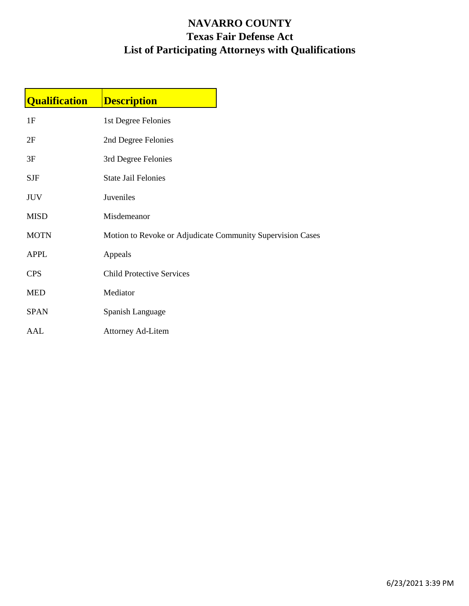## **NAVARRO COUNTY Texas Fair Defense Act List of Participating Attorneys with Qualifications**

| <b>Qualification</b> | <b>Description</b>                                         |  |
|----------------------|------------------------------------------------------------|--|
| 1F                   | 1st Degree Felonies                                        |  |
| 2F                   | 2nd Degree Felonies                                        |  |
| 3F                   | 3rd Degree Felonies                                        |  |
| <b>SJF</b>           | <b>State Jail Felonies</b>                                 |  |
| <b>JUV</b>           | Juveniles                                                  |  |
| <b>MISD</b>          | Misdemeanor                                                |  |
| <b>MOTN</b>          | Motion to Revoke or Adjudicate Community Supervision Cases |  |
| <b>APPL</b>          | Appeals                                                    |  |
| <b>CPS</b>           | <b>Child Protective Services</b>                           |  |
| <b>MED</b>           | Mediator                                                   |  |
| <b>SPAN</b>          | Spanish Language                                           |  |
| AAL                  | <b>Attorney Ad-Litem</b>                                   |  |